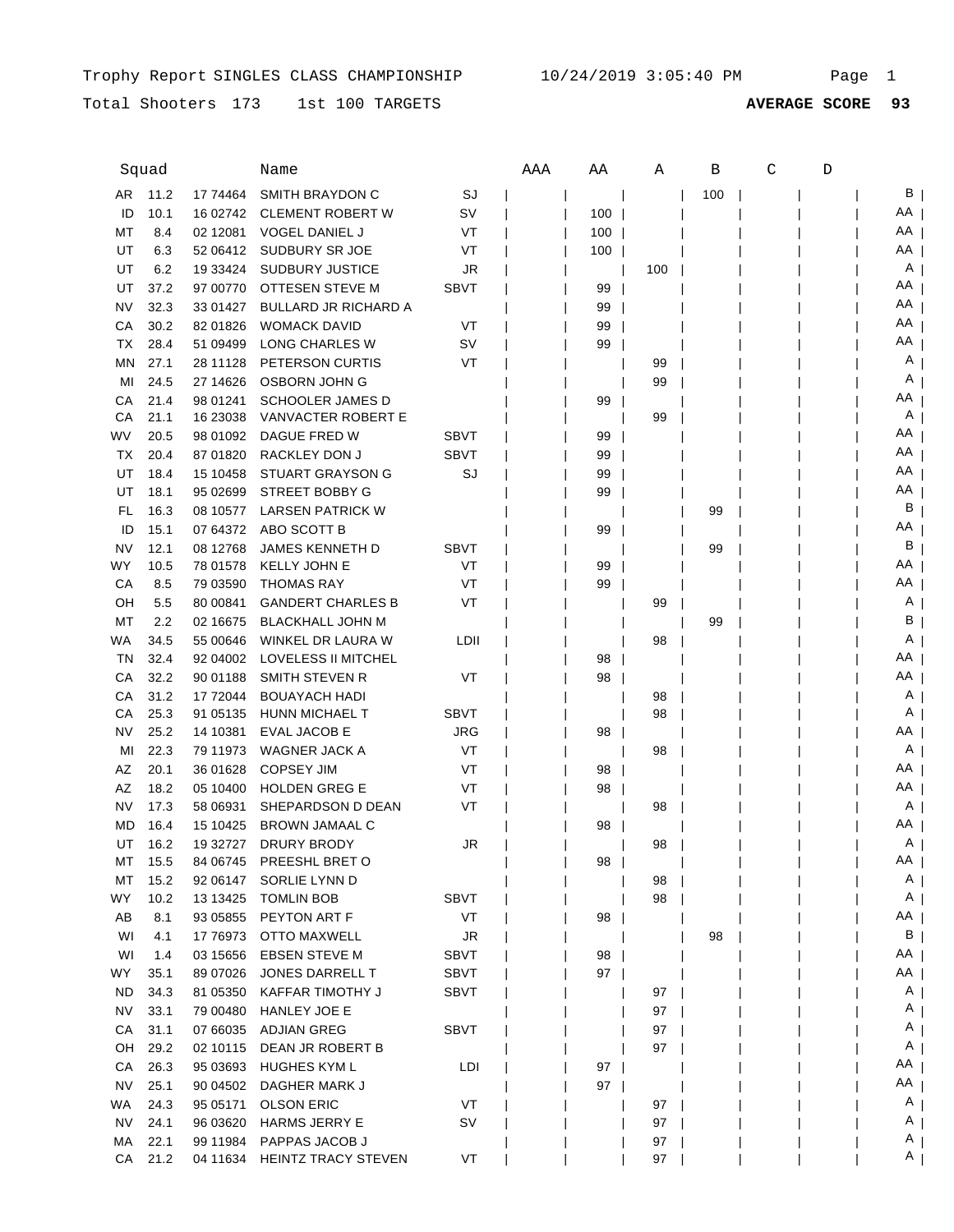Total Shooters 173 1st 100 TARGETS

|           | Squad        |                      | Name                                   |             | AAA | ΑA  | Α        | В   | C | D |         |
|-----------|--------------|----------------------|----------------------------------------|-------------|-----|-----|----------|-----|---|---|---------|
| AR        | 11.2         | 17 74464             | SMITH BRAYDON C                        | SJ          |     |     |          | 100 |   |   | В       |
| ID        | 10.1         | 16 02742             | <b>CLEMENT ROBERT W</b>                | SV          |     | 100 |          |     |   |   | AA      |
| МT        | 8.4          | 02 12081             | <b>VOGEL DANIEL J</b>                  | VT          |     | 100 |          |     |   |   | AA      |
| UT        | 6.3          | 52 06412             | SUDBURY SR JOE                         | VT          |     | 100 |          |     |   |   | AA      |
| UT        | 6.2          | 19 33424             | <b>SUDBURY JUSTICE</b>                 | JR          |     |     | 100      |     |   |   | Α       |
| UT        | 37.2         | 97 00770             | OTTESEN STEVE M                        | <b>SBVT</b> |     | 99  |          |     |   |   | AA      |
| NV        | 32.3         | 33 01427             | <b>BULLARD JR RICHARD A</b>            |             |     | 99  |          |     |   |   | AA      |
| СA        | 30.2         | 82 01826             | <b>WOMACK DAVID</b>                    | VT          |     | 99  |          |     |   |   | AA      |
| ТX        | 28.4         | 51 09499             | LONG CHARLES W                         | SV          |     | 99  |          |     |   |   | AA      |
| ΜN        | 27.1         | 28 11128             | PETERSON CURTIS                        | VT          |     |     | 99       |     |   |   | Α       |
| MI        | 24.5         | 27 14626             | OSBORN JOHN G                          |             |     |     | 99       |     |   |   | Α       |
| СA        | 21.4         | 98 01241             | <b>SCHOOLER JAMES D</b>                |             |     | 99  |          |     |   |   | ΑA      |
| СA        | 21.1         | 16 23038             | VANVACTER ROBERT E                     |             |     |     | 99       |     |   |   | A       |
| WV        | 20.5         | 98 01092             | DAGUE FRED W                           | <b>SBVT</b> |     | 99  |          |     |   |   | AA      |
| TX        | 20.4         | 87 01820             | RACKLEY DON J                          | <b>SBVT</b> |     | 99  |          |     |   |   | ΑA      |
| UT        | 18.4         | 15 10458             | <b>STUART GRAYSON G</b>                | SJ          |     | 99  |          |     |   |   | AA      |
| UT        | 18.1         | 95 02699             | <b>STREET BOBBY G</b>                  |             |     | 99  |          |     |   |   | ΑA      |
| FL        | 16.3         | 08 10577             | <b>LARSEN PATRICK W</b>                |             |     |     |          | 99  |   |   | в       |
| ID        | 15.1         | 07 64372             | ABO SCOTT B                            |             |     | 99  |          |     |   |   | ΑA      |
| NV        | 12.1         | 08 12768             | JAMES KENNETH D                        | <b>SBVT</b> |     |     |          | 99  |   |   | В       |
| <b>WY</b> | 10.5         | 78 01578             | <b>KELLY JOHN E</b>                    | VT          |     | 99  |          |     |   |   | AA      |
| СA        | 8.5          | 79 03590             | <b>THOMAS RAY</b>                      | VT          |     | 99  |          |     |   |   | AA      |
| OН        | 5.5          | 80 00841             | <b>GANDERT CHARLES B</b>               | VT          |     |     | 99       |     |   |   | Α       |
| МT        | 2.2          | 02 16675             | <b>BLACKHALL JOHN M</b>                |             |     |     |          | 99  |   |   | В       |
| WA        | 34.5         | 55 00646             | WINKEL DR LAURA W                      | LDII        |     |     | 98       |     |   |   | A       |
| TN        | 32.4         | 92 04 002            | LOVELESS II MITCHEL                    |             |     | 98  |          |     |   |   | AA      |
| СA        | 32.2         | 90 01188             | SMITH STEVEN R                         | VT          |     | 98  |          |     |   |   | AA      |
| СA        | 31.2         | 17 72044             | <b>BOUAYACH HADI</b>                   |             |     |     | 98       |     |   |   | A       |
| СA        | 25.3         | 91 05135             | HUNN MICHAEL T                         | <b>SBVT</b> |     |     | 98       |     |   |   | A       |
| NV        | 25.2         | 14 10381             | <b>EVAL JACOB E</b>                    | JRG         |     | 98  |          |     |   |   | AA      |
| MI        | 22.3         | 79 11973             | WAGNER JACK A                          | VT          |     |     | 98       |     |   |   | A       |
| ΑZ        | 20.1         | 36 01628             | <b>COPSEY JIM</b>                      | VT          |     | 98  |          |     |   |   | AA      |
| ΑZ        | 18.2         | 05 10400             | <b>HOLDEN GREG E</b>                   | VT          |     | 98  |          |     |   |   | AA      |
| NV        | 17.3         | 58 06931             | SHEPARDSON D DEAN                      | VT          |     |     | 98       |     |   |   | A       |
| MD        | 16.4         | 15 10425             | <b>BROWN JAMAAL C</b>                  |             |     | 98  |          |     |   |   | AA      |
| UT        | 16.2         | 19 32727             | DRURY BRODY                            | JR          |     |     | 98       |     |   |   | A       |
| МT        | 15.5         | 84 06745             | PREESHL BRET O                         |             |     | 98  |          |     |   |   | ΑA      |
| МT        | 15.2         | 92 06147             | SORLIE LYNN D                          |             |     |     | 98       |     |   |   | A       |
| WY.       | 10.2         | 13 13 425            | <b>TOMLIN BOB</b>                      | <b>SBVT</b> |     |     | 98       |     |   |   | A       |
| AB        | 8.1          | 93 05855             | PEYTON ART F                           | VT          |     | 98  |          |     |   |   | AA      |
| WI        | 4.1          | 17 76973             | OTTO MAXWELL                           | JR          |     |     |          | 98  |   |   | B       |
| WI        | 1.4          | 03 15 65 6           | <b>EBSEN STEVE M</b>                   | SBVT        |     | 98  |          |     |   |   | AA      |
| WY.       | 35.1         | 89 07026             | JONES DARRELL T                        | SBVT        |     | 97  |          |     |   |   | AA      |
| <b>ND</b> | 34.3         | 81 05350             | KAFFAR TIMOTHY J                       | SBVT        |     |     | 97       |     |   |   | A       |
| <b>NV</b> | 33.1         | 79 00480             | <b>HANLEY JOE E</b>                    |             |     |     | 97       |     |   |   | A       |
| CA        | 31.1         | 07 66035             | ADJIAN GREG                            | SBVT        |     |     | 97       |     |   |   | A       |
| OH        | 29.2         | 02 10115             | DEAN JR ROBERT B                       |             |     |     | 97       |     |   |   | A<br>AA |
| CA        | 26.3         | 95 03693             | HUGHES KYM L                           | LDI         |     | 97  |          |     |   |   | AA      |
| <b>NV</b> | 25.1         | 90 04502             | DAGHER MARK J                          |             |     | 97  |          |     |   |   |         |
| WA        | 24.3         | 95 05171             | <b>OLSON ERIC</b>                      | VT          |     |     | 97       |     |   |   | A<br>A  |
| NV<br>MA  | 24.1<br>22.1 | 96 03620<br>99 11984 | HARMS JERRY E<br><b>PAPPAS JACOB J</b> | SV          |     |     | 97       |     |   |   | A       |
| СA        | 21.2         | 04 11634             | <b>HEINTZ TRACY STEVEN</b>             | VT          |     |     | 97<br>97 |     |   |   | A       |
|           |              |                      |                                        |             |     |     |          |     |   |   |         |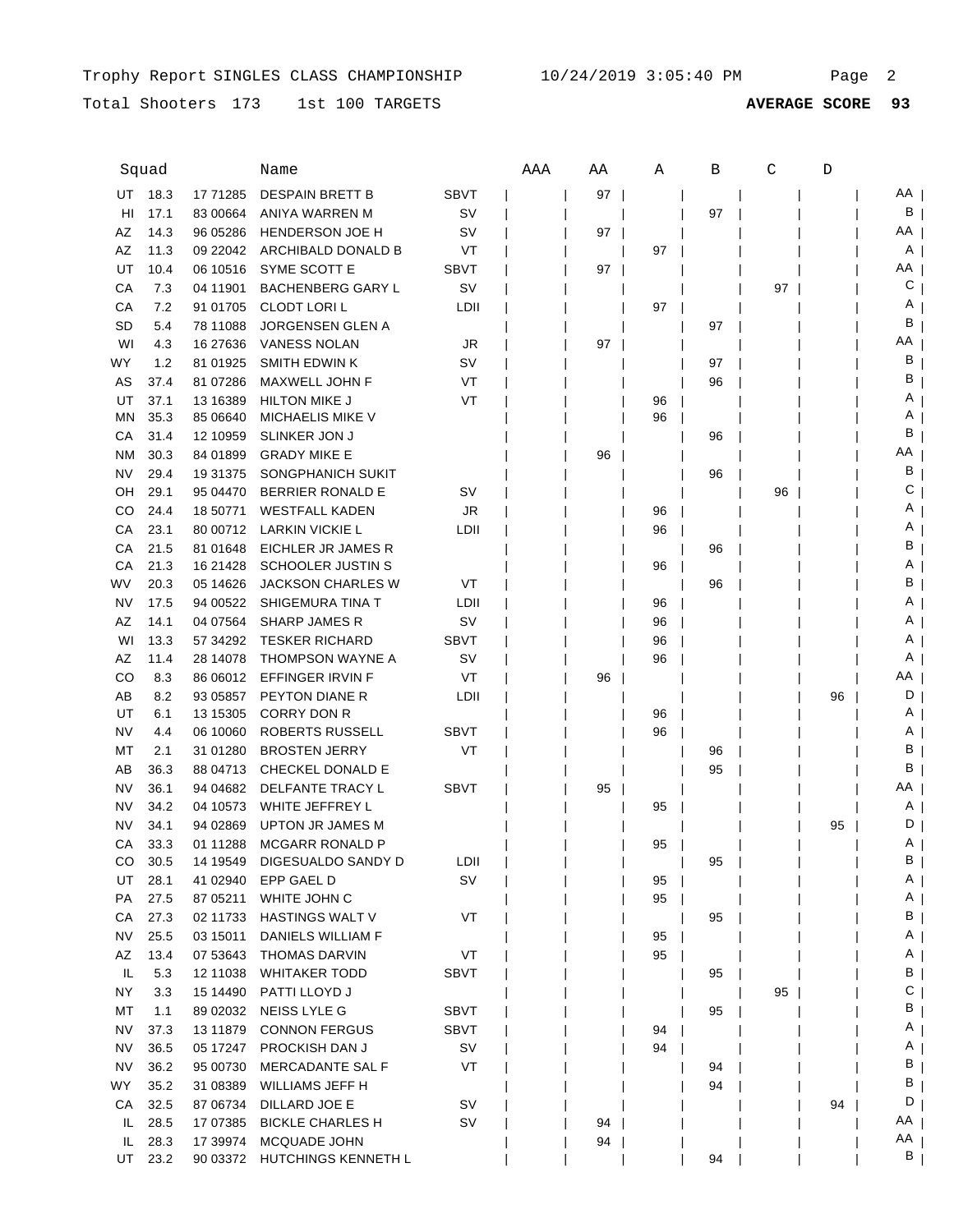Trophy Report SINGLES CLASS CHAMPIONSHIP  $10/24/2019$  3:05:40 PM Page 2

Total Shooters 173 1st 100 TARGETS

|           | Squad |            | Name                     |             | AAA | ΑA | Α  | В  | С  | D  |    |
|-----------|-------|------------|--------------------------|-------------|-----|----|----|----|----|----|----|
| UT        | 18.3  | 17 71285   | <b>DESPAIN BRETT B</b>   | <b>SBVT</b> |     | 97 |    |    |    |    | AA |
| HI        | 17.1  | 83 00664   | ANIYA WARREN M           | <b>SV</b>   |     |    |    | 97 |    |    | В  |
| AΖ        | 14.3  | 96 05286   | <b>HENDERSON JOE H</b>   | sv          |     | 97 |    |    |    |    | AA |
| AΖ        | 11.3  | 09 22042   | ARCHIBALD DONALD B       | VT          |     |    | 97 |    |    |    | A  |
| UT        | 10.4  | 06 10516   | SYME SCOTT E             | <b>SBVT</b> |     | 97 |    |    |    |    | AA |
| СA        | 7.3   | 04 11901   | <b>BACHENBERG GARY L</b> | sv          |     |    |    |    | 97 |    | С  |
| СA        | 7.2   | 91 01705   | <b>CLODT LORIL</b>       | LDII        |     |    | 97 |    |    |    | Α  |
| SD        | 5.4   | 78 11088   | <b>JORGENSEN GLEN A</b>  |             |     |    |    | 97 |    |    | в  |
| WI        | 4.3   | 16 27 63 6 | <b>VANESS NOLAN</b>      | JR          |     | 97 |    |    |    |    | ΑA |
| WY        | 1.2   | 81 01925   | <b>SMITH EDWIN K</b>     | S٧          |     |    |    | 97 |    |    | В  |
| AS        | 37.4  | 81 07286   | MAXWELL JOHN F           | VT          |     |    |    | 96 |    |    | В  |
| UT        | 37.1  | 13 16389   | <b>HILTON MIKE J</b>     | VT          |     |    | 96 |    |    |    | Α  |
| ΜN        | 35.3  | 85 06640   | <b>MICHAELIS MIKE V</b>  |             |     |    | 96 |    |    |    | Α  |
| СA        | 31.4  | 12 10959   | SLINKER JON J            |             |     |    |    | 96 |    |    | В  |
| <b>NM</b> | 30.3  | 84 01899   | <b>GRADY MIKE E</b>      |             |     | 96 |    |    |    |    | AA |
| NV        | 29.4  | 19 31 375  | SONGPHANICH SUKIT        |             |     |    |    | 96 |    |    | В  |
| OН        | 29.1  | 95 04470   | <b>BERRIER RONALD E</b>  | sv          |     |    |    |    | 96 |    | С  |
| CO        | 24.4  | 18 50771   | <b>WESTFALL KADEN</b>    | <b>JR</b>   |     |    | 96 |    |    |    | Α  |
| СA        | 23.1  | 80 00712   | <b>LARKIN VICKIE L</b>   | LDII        |     |    | 96 |    |    |    | Α  |
| CA        | 21.5  | 81 01 648  | EICHLER JR JAMES R       |             |     |    |    | 96 |    |    | В  |
| СA        | 21.3  | 16 21428   | <b>SCHOOLER JUSTIN S</b> |             |     |    | 96 |    |    |    | A  |
| WV        | 20.3  | 05 14626   | <b>JACKSON CHARLES W</b> | VT          |     |    |    | 96 |    |    | В  |
| NV        | 17.5  | 94 00522   | SHIGEMURA TINA T         | LDII        |     |    | 96 |    |    |    | A  |
| AZ        | 14.1  | 04 07564   | <b>SHARP JAMES R</b>     | S٧          |     |    | 96 |    |    |    | A  |
| WI        | 13.3  | 57 34 29 2 | <b>TESKER RICHARD</b>    | SBVT        |     |    | 96 |    |    |    | A  |
| AZ        | 11.4  | 28 14078   | THOMPSON WAYNE A         | sv          |     |    | 96 |    |    |    | A  |
| CO        | 8.3   | 86 06012   | EFFINGER IRVIN F         | VT          |     | 96 |    |    |    |    | AA |
| AB        | 8.2   | 93 05857   | PEYTON DIANE R           | LDII        |     |    |    |    |    | 96 | D  |
| UT        | 6.1   | 13 15305   | <b>CORRY DON R</b>       |             |     |    | 96 |    |    |    | Α  |
| NV        | 4.4   | 06 10060   | ROBERTS RUSSELL          | <b>SBVT</b> |     |    | 96 |    |    |    | Α  |
| МT        | 2.1   | 31 01 280  | <b>BROSTEN JERRY</b>     | VT          |     |    |    | 96 |    |    | В  |
| AB        | 36.3  | 88 04713   | CHECKEL DONALD E         |             |     |    |    | 95 |    |    | В  |
| NV        | 36.1  | 94 04 682  | DELFANTE TRACY L         | <b>SBVT</b> |     | 95 |    |    |    |    | ΑA |
| NV        | 34.2  | 04 10573   | WHITE JEFFREY L          |             |     |    | 95 |    |    |    | A  |
| NV        | 34.1  | 94 02869   | <b>UPTON JR JAMES M</b>  |             |     |    |    |    |    | 95 | D  |
| СA        | 33.3  | 01 11 288  | <b>MCGARR RONALD P</b>   |             |     |    | 95 |    |    |    | Α  |
| CO        | 30.5  | 14 19549   | DIGESUALDO SANDY D       | LDII        |     |    |    | 95 |    |    | В  |
| UT        | 28.1  | 41 02940   | EPP GAEL D               | <b>SV</b>   |     |    | 95 |    |    |    | A  |
| PA        | 27.5  | 87 05211   | WHITE JOHN C             |             |     |    | 95 |    |    |    | A  |
| CA        | 27.3  | 02 11733   | <b>HASTINGS WALT V</b>   | VT          |     |    |    | 95 |    |    | В  |
| <b>NV</b> | 25.5  | 03 15011   | DANIELS WILLIAM F        |             |     |    | 95 |    |    |    | A  |
| AZ        | 13.4  | 07 53 643  | <b>THOMAS DARVIN</b>     | VT          |     |    | 95 |    |    |    | A  |
| IL        | 5.3   | 12 11038   | <b>WHITAKER TODD</b>     | SBVT        |     |    |    | 95 |    |    | В  |
| NY.       | 3.3   | 15 14490   | PATTI LLOYD J            |             |     |    |    |    | 95 |    | С  |
| МT        | 1.1   | 89 02032   | NEISS LYLE G             | <b>SBVT</b> |     |    |    | 95 |    |    | В  |
| <b>NV</b> | 37.3  | 13 11 879  | <b>CONNON FERGUS</b>     | <b>SBVT</b> |     |    | 94 |    |    |    | A  |
| <b>NV</b> | 36.5  | 05 17247   | PROCKISH DAN J           | SV          |     |    | 94 |    |    |    | A  |
| <b>NV</b> | 36.2  | 95 00730   | MERCADANTE SAL F         | VT          |     |    |    | 94 |    |    | В  |
| WY        | 35.2  | 31 08389   | WILLIAMS JEFF H          |             |     |    |    | 94 |    |    | В  |
| CA        | 32.5  | 87 06734   | DILLARD JOE E            | SV          |     |    |    |    |    | 94 | D  |
| IL        | 28.5  | 17 07 385  | <b>BICKLE CHARLES H</b>  | SV          |     | 94 |    |    |    |    | AA |
| IL.       | 28.3  | 17 39974   | MCQUADE JOHN             |             |     | 94 |    |    |    |    | AA |
| UT        | 23.2  | 90 03372   | HUTCHINGS KENNETH L      |             |     |    |    | 94 |    |    | B  |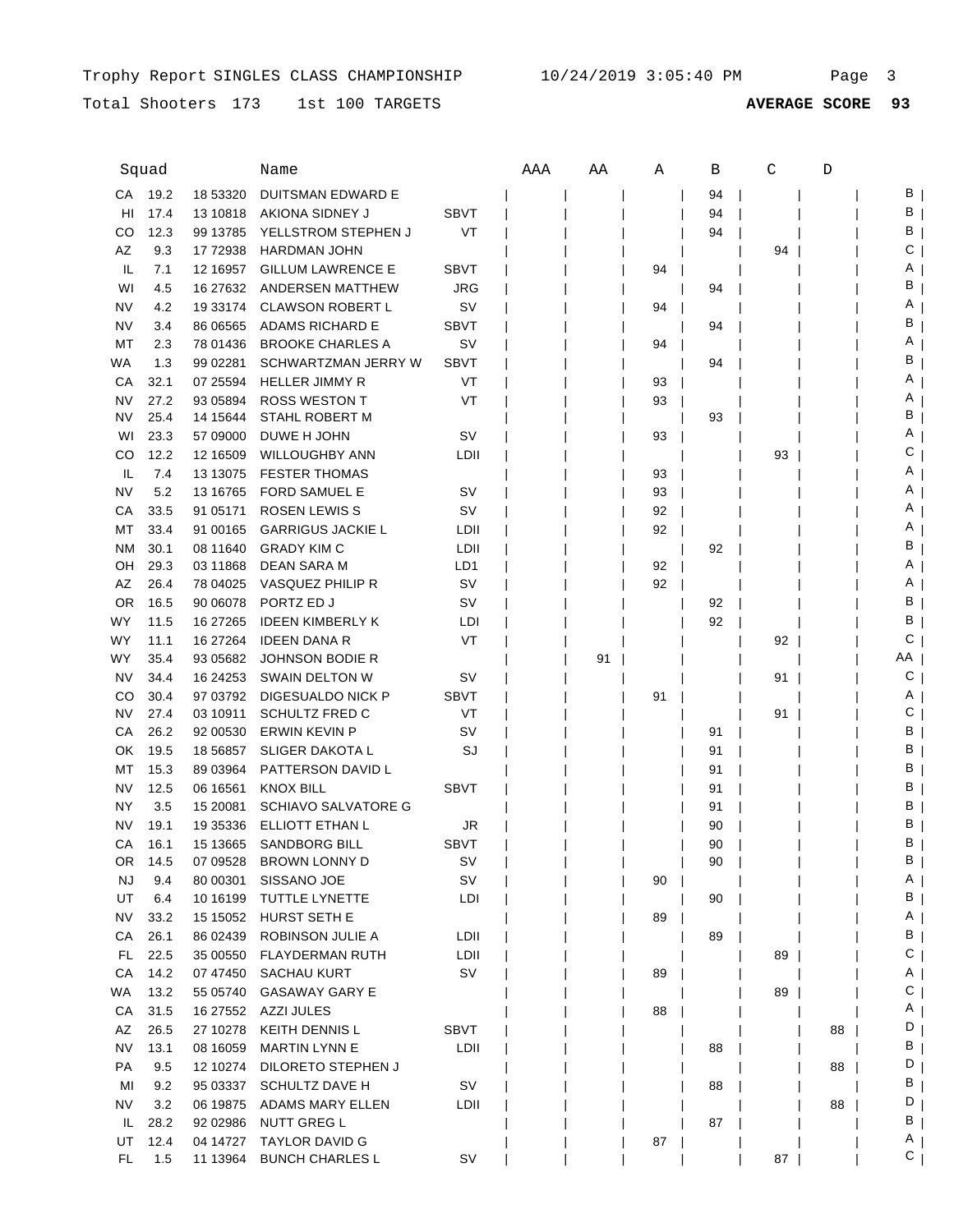Total Shooters 173 1st 100 TARGETS

|           | Squad |            | Name                       |             | AAA | ΑA | Α  | В  | C  | D  |    |
|-----------|-------|------------|----------------------------|-------------|-----|----|----|----|----|----|----|
| СA        | 19.2  | 18 53320   | DUITSMAN EDWARD E          |             |     |    |    | 94 |    |    | В  |
| HI        | 17.4  | 13 10818   | AKIONA SIDNEY J            | <b>SBVT</b> |     |    |    | 94 |    |    | В  |
| CO        | 12.3  | 99 13785   | YELLSTROM STEPHEN J        | VT          |     |    |    | 94 |    |    | В  |
| AZ        | 9.3   | 17 72938   | <b>HARDMAN JOHN</b>        |             |     |    |    |    | 94 |    | С  |
| IL.       | 7.1   | 12 16957   | <b>GILLUM LAWRENCE E</b>   | <b>SBVT</b> |     |    | 94 |    |    |    | Α  |
| WI        | 4.5   | 16 27 632  | ANDERSEN MATTHEW           | JRG         |     |    |    | 94 |    |    | в  |
| NV        | 4.2   | 19 33174   | <b>CLAWSON ROBERT L</b>    | sv          |     |    | 94 |    |    |    | Α  |
| NV        | 3.4   | 86 06565   | ADAMS RICHARD E            | <b>SBVT</b> |     |    |    | 94 |    |    | в  |
| MT        | 2.3   | 78 01436   | <b>BROOKE CHARLES A</b>    | sv          |     |    | 94 |    |    |    | A  |
| WA        | 1.3   | 99 02281   | SCHWARTZMAN JERRY W        | <b>SBVT</b> |     |    |    | 94 |    |    | в  |
| СA        | 32.1  | 07 25594   | <b>HELLER JIMMY R</b>      | VT          |     |    | 93 |    |    |    | Α  |
| NV        | 27.2  | 93 05894   | <b>ROSS WESTON T</b>       | VT          |     |    | 93 |    |    |    | A  |
| NV        | 25.4  | 14 15 644  | <b>STAHL ROBERT M</b>      |             |     |    |    | 93 |    |    | В  |
| WI        | 23.3  | 57 09000   | DUWE H JOHN                | sv          |     |    | 93 |    |    |    | Α  |
| CO        | 12.2  | 12 16509   | <b>WILLOUGHBY ANN</b>      | LDII        |     |    |    |    | 93 |    | С  |
| IL        | 7.4   | 13 13 075  | <b>FESTER THOMAS</b>       |             |     |    | 93 |    |    |    | Α  |
| NV        | 5.2   | 13 16765   | <b>FORD SAMUEL E</b>       | SV          |     |    | 93 |    |    |    | Α  |
| СA        | 33.5  | 91 05171   | <b>ROSEN LEWIS S</b>       | SV          |     |    | 92 |    |    |    | Α  |
| МT        | 33.4  | 91 00165   | <b>GARRIGUS JACKIE L</b>   | LDII        |     |    | 92 |    |    |    | Α  |
| ΝM        | 30.1  | 08 11 640  | <b>GRADY KIM C</b>         | LDII        |     |    |    | 92 |    |    | В  |
| OH        | 29.3  | 03 11868   | <b>DEAN SARA M</b>         | LD1         |     |    | 92 |    |    |    | A  |
| AZ        | 26.4  | 78 04025   | VASQUEZ PHILIP R           | SV          |     |    | 92 |    |    |    | Α  |
| <b>OR</b> | 16.5  | 90 06078   | PORTZ ED J                 | SV          |     |    |    | 92 |    |    | В  |
| WY        | 11.5  | 16 27 265  | <b>IDEEN KIMBERLY K</b>    | LDI         |     |    |    | 92 |    |    | В  |
| WY        | 11.1  | 16 27 264  | <b>IDEEN DANA R</b>        | VT          |     |    |    |    | 92 |    | С  |
| WY        | 35.4  | 93 05682   | <b>JOHNSON BODIE R</b>     |             |     | 91 |    |    |    |    | ΑA |
| <b>NV</b> | 34.4  | 16 24 25 3 | SWAIN DELTON W             | sv          |     |    |    |    | 91 |    | С  |
| CO        | 30.4  | 97 03792   | DIGESUALDO NICK P          | <b>SBVT</b> |     |    | 91 |    |    |    | Α  |
| NV        | 27.4  | 03 10911   | <b>SCHULTZ FRED C</b>      | VT          |     |    |    |    | 91 |    | С  |
| СA        | 26.2  | 92 00530   | <b>ERWIN KEVIN P</b>       | sv          |     |    |    | 91 |    |    | В  |
| OK        | 19.5  | 18 5 68 57 | <b>SLIGER DAKOTA L</b>     | SJ          |     |    |    | 91 |    |    | В  |
| МT        | 15.3  | 89 03964   | PATTERSON DAVID L          |             |     |    |    | 91 |    |    | В  |
| NV        | 12.5  | 06 16561   | KNOX BILL                  | SBVT        |     |    |    | 91 |    |    | В  |
| ΝY        | 3.5   | 15 20081   | <b>SCHIAVO SALVATORE G</b> |             |     |    |    | 91 |    |    | В  |
| NV        | 19.1  | 19 35336   | ELLIOTT ETHAN L            | JR          |     |    |    | 90 |    |    | В  |
| СA        | 16.1  | 15 13665   | <b>SANDBORG BILL</b>       | <b>SBVT</b> |     |    |    | 90 |    |    | в  |
| OR.       | 14.5  | 07 09528   | <b>BROWN LONNY D</b>       | SV          |     |    |    | 90 |    |    | В  |
| <b>NJ</b> | 9.4   | 80 00301   | SISSANO JOE                | <b>SV</b>   |     |    | 90 |    |    |    | Α  |
| UT        | 6.4   | 10 16 199  | TUTTLE LYNETTE             | LDI         |     |    |    | 90 |    |    | В  |
| NV        | 33.2  | 15 15 05 2 | HURST SETH E               |             |     |    | 89 |    |    |    | A  |
| CA        | 26.1  | 86 02439   | ROBINSON JULIE A           | LDII        |     |    |    | 89 |    |    | В  |
| FL.       | 22.5  | 35 00550   | <b>FLAYDERMAN RUTH</b>     | LDII        |     |    |    |    | 89 |    | С  |
| CA        | 14.2  | 07 47450   | <b>SACHAU KURT</b>         | SV          |     |    | 89 |    |    |    | A  |
| WA        | 13.2  | 55 05740   | <b>GASAWAY GARY E</b>      |             |     |    |    |    | 89 |    | С  |
| CA        | 31.5  | 16 27552   | AZZI JULES                 |             |     |    | 88 |    |    |    | A  |
| AZ        | 26.5  | 27 10278   | <b>KEITH DENNIS L</b>      | <b>SBVT</b> |     |    |    |    |    | 88 | D  |
| <b>NV</b> | 13.1  | 08 16059   | <b>MARTIN LYNN E</b>       | LDII        |     |    |    | 88 |    |    | B  |
| PA        | 9.5   | 12 10274   | DILORETO STEPHEN J         |             |     |    |    |    |    | 88 | D  |
| MI        | 9.2   | 95 03337   | <b>SCHULTZ DAVE H</b>      | SV          |     |    |    | 88 |    |    | B  |
| NV        | 3.2   | 06 19875   | ADAMS MARY ELLEN           | LDII        |     |    |    |    |    | 88 | D  |
| IL.       | 28.2  | 92 02986   | <b>NUTT GREG L</b>         |             |     |    |    | 87 |    |    | В  |
| UT        | 12.4  | 04 14727   | <b>TAYLOR DAVID G</b>      |             |     |    | 87 |    |    |    | A  |
| FL.       | 1.5   | 11 13964   | <b>BUNCH CHARLES L</b>     | <b>SV</b>   |     |    |    |    | 87 |    | С  |